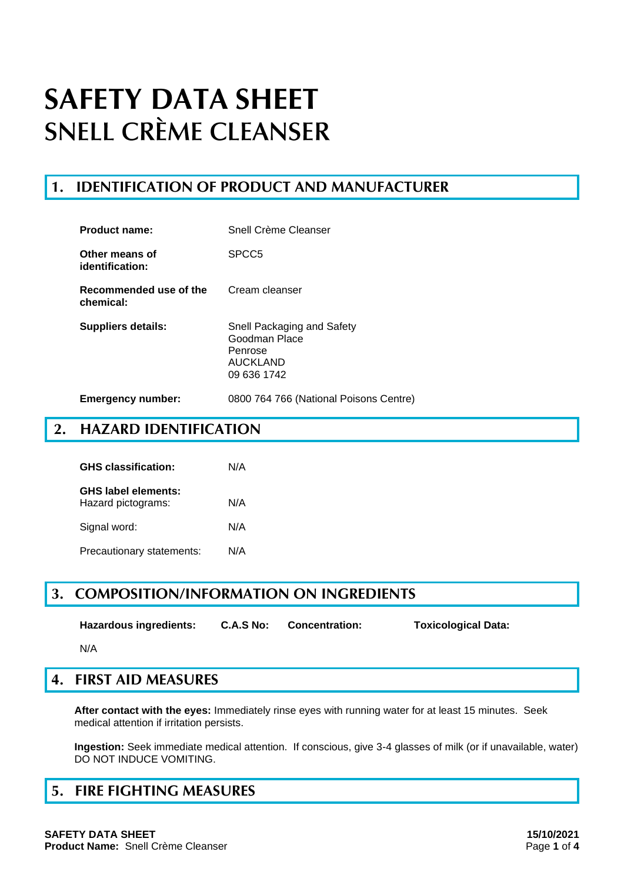## **1. IDENTIFICATION OF PRODUCT AND MANUFACTURER**

| <b>Product name:</b>                | Snell Crème Cleanser                                                              |
|-------------------------------------|-----------------------------------------------------------------------------------|
| Other means of<br>identification:   | SPCC <sub>5</sub>                                                                 |
| Recommended use of the<br>chemical: | Cream cleanser                                                                    |
| <b>Suppliers details:</b>           | Snell Packaging and Safety<br>Goodman Place<br>Penrose<br>AUCKLAND<br>09 636 1742 |
| <b>Emergency number:</b>            | 0800 764 766 (National Poisons Centre)                                            |

## **2. HAZARD IDENTIFICATION**

| <b>GHS classification:</b>                       | N/A |
|--------------------------------------------------|-----|
| <b>GHS label elements:</b><br>Hazard pictograms: | N/A |
| Signal word:                                     | N/A |
| Precautionary statements:                        | N/A |

## **3. COMPOSITION/INFORMATION ON INGREDIENTS**

**Hazardous ingredients: C.A.S No: Concentration: Toxicological Data:**

N/A

## **4. FIRST AID MEASURES**

**After contact with the eyes:** Immediately rinse eyes with running water for at least 15 minutes. Seek medical attention if irritation persists.

**Ingestion:** Seek immediate medical attention. If conscious, give 3-4 glasses of milk (or if unavailable, water) DO NOT INDUCE VOMITING.

## **5. FIRE FIGHTING MEASURES**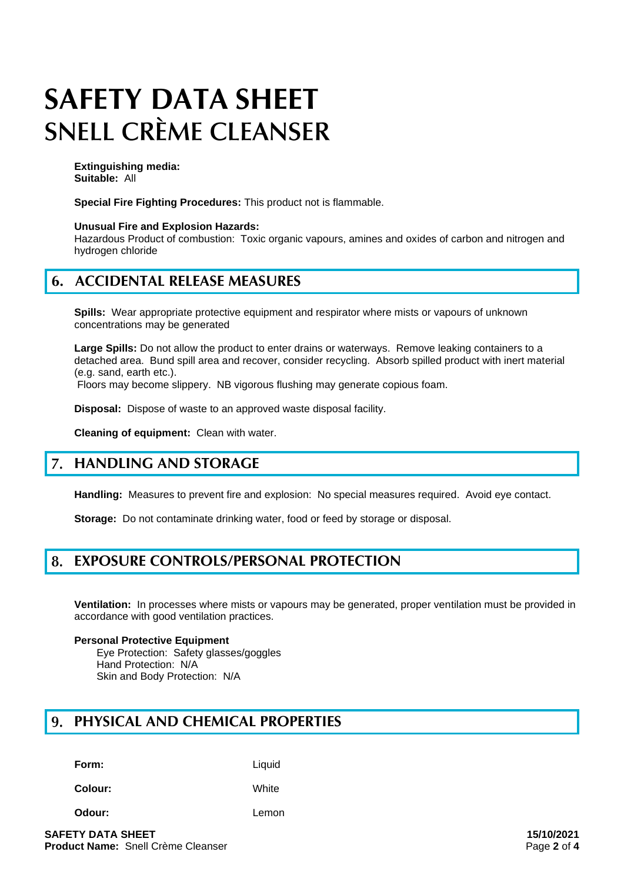**Extinguishing media: Suitable:** All

**Special Fire Fighting Procedures:** This product not is flammable.

### **Unusual Fire and Explosion Hazards:**

Hazardous Product of combustion: Toxic organic vapours, amines and oxides of carbon and nitrogen and hydrogen chloride

## **6. ACCIDENTAL RELEASE MEASURES**

**Spills:** Wear appropriate protective equipment and respirator where mists or vapours of unknown concentrations may be generated

**Large Spills:** Do not allow the product to enter drains or waterways. Remove leaking containers to a detached area. Bund spill area and recover, consider recycling. Absorb spilled product with inert material (e.g. sand, earth etc.).

Floors may become slippery. NB vigorous flushing may generate copious foam.

**Disposal:** Dispose of waste to an approved waste disposal facility.

**Cleaning of equipment:** Clean with water.

#### $\overline{7}$ . **HANDLING AND STORAGE**

**Handling:** Measures to prevent fire and explosion: No special measures required. Avoid eve contact.

**Storage:** Do not contaminate drinking water, food or feed by storage or disposal.

#### 8. **EXPOSURE CONTROLS/PERSONAL PROTECTION**

**Ventilation:** In processes where mists or vapours may be generated, proper ventilation must be provided in accordance with good ventilation practices.

### **Personal Protective Equipment**

Eye Protection: Safety glasses/goggles Hand Protection: N/A Skin and Body Protection: N/A

#### 9. **PHYSICAL AND CHEMICAL PROPERTIES**

**Form:** Liquid

**Colour:** White

**Odour:** Lemon

**SAFETY DATA SHEET 15/10/2021 Product Name:** Snell Crème Cleanser **Page 2** of 4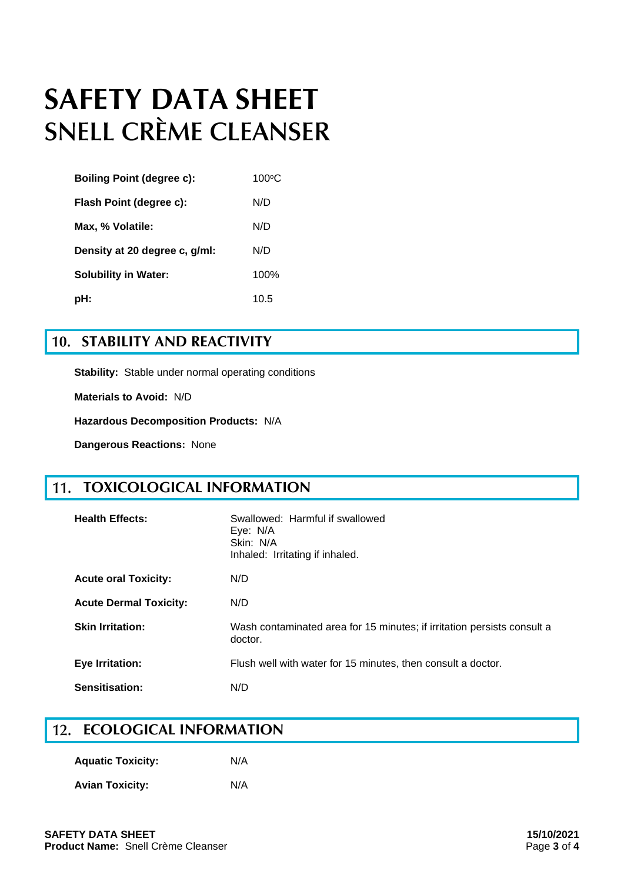| <b>Boiling Point (degree c):</b> | $100\textdegree C$ |
|----------------------------------|--------------------|
| Flash Point (degree c):          | N/D                |
| Max, % Volatile:                 | N/D                |
| Density at 20 degree c, g/ml:    | N/D                |
| <b>Solubility in Water:</b>      | 100%               |
| pH:                              | 10.5               |

## **10. STABILITY AND REACTIVITY**

**Stability:** Stable under normal operating conditions

**Materials to Avoid:** N/D

**Hazardous Decomposition Products:** N/A

**Dangerous Reactions:** None

## **TOXICOLOGICAL INFORMATION**

| <b>Health Effects:</b>        | Swallowed: Harmful if swallowed<br>Eye: N/A<br>Skin: N/A<br>Inhaled: Irritating if inhaled. |
|-------------------------------|---------------------------------------------------------------------------------------------|
| <b>Acute oral Toxicity:</b>   | N/D                                                                                         |
| <b>Acute Dermal Toxicity:</b> | N/D                                                                                         |
| <b>Skin Irritation:</b>       | Wash contaminated area for 15 minutes; if irritation persists consult a<br>doctor.          |
| <b>Eye Irritation:</b>        | Flush well with water for 15 minutes, then consult a doctor.                                |
| Sensitisation:                | N/D                                                                                         |

## **12. ECOLOGICAL INFORMATION**

| <b>Aquatic Toxicity:</b> | N/A |
|--------------------------|-----|
| <b>Avian Toxicity:</b>   | N/A |